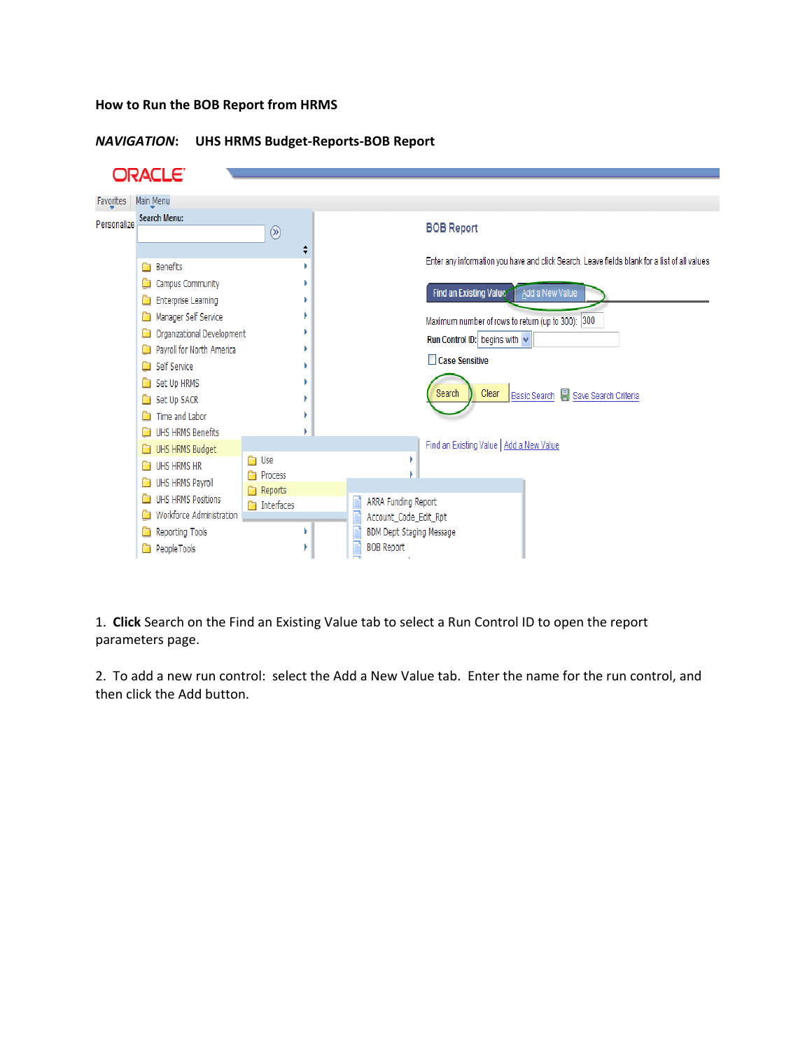### **How to Run the BOB Report from HRMS**

### *NAVIGATION***: UHS HRMS Budget-Reports-BOB Report**

|             | ORACLE'                                                                                                                                                                                                                            |                                                                    |                                                                                                                                                                                                                                                                                                           |
|-------------|------------------------------------------------------------------------------------------------------------------------------------------------------------------------------------------------------------------------------------|--------------------------------------------------------------------|-----------------------------------------------------------------------------------------------------------------------------------------------------------------------------------------------------------------------------------------------------------------------------------------------------------|
| Favorites   | Main Menu                                                                                                                                                                                                                          |                                                                    |                                                                                                                                                                                                                                                                                                           |
| Personalize | <b>Search Menu:</b>                                                                                                                                                                                                                | $\circledR$<br>٥                                                   | <b>BOB Report</b>                                                                                                                                                                                                                                                                                         |
|             | <b>Benefits</b><br>Campus Community<br>Enterprise Learning<br>Manager Self Service<br>Organizational Development<br>Payroll for North America<br>Self Service<br>Set Up HRMS<br>Set Up SACR<br>Time and Labor<br>UHS HRMS Benefits |                                                                    | Enter any information you have and click Search. Leave fields blank for a list of all values<br>Find an Existing Value<br>Add a New Value<br>Maximum number of rows to return (up to 300): 300<br>Run Control ID: begins with v<br>Case Sensitive<br>Clear<br>Search<br>Basic Search Save Search Criteria |
|             | UHS HRMS Budget<br>UHS HRMS HR<br>UHS HRMS Payroll<br>UHS HRMS Positions<br>Workforce Administration<br>a<br>Reporting Tools<br>a<br>PeopleTools                                                                                   | <b>D</b> Use<br><b>Process</b><br>Reports<br><b>The Interfaces</b> | Find an Existing Value   Add a New Value<br>ARRA Funding Report<br>Account_Code_Edit_Rpt<br>BDM Dept Staging Message<br><b>BOB Report</b>                                                                                                                                                                 |

1. **Click** Search on the Find an Existing Value tab to select a Run Control ID to open the report parameters page.

2. To add a new run control: select the Add a New Value tab. Enter the name for the run control, and then click the Add button.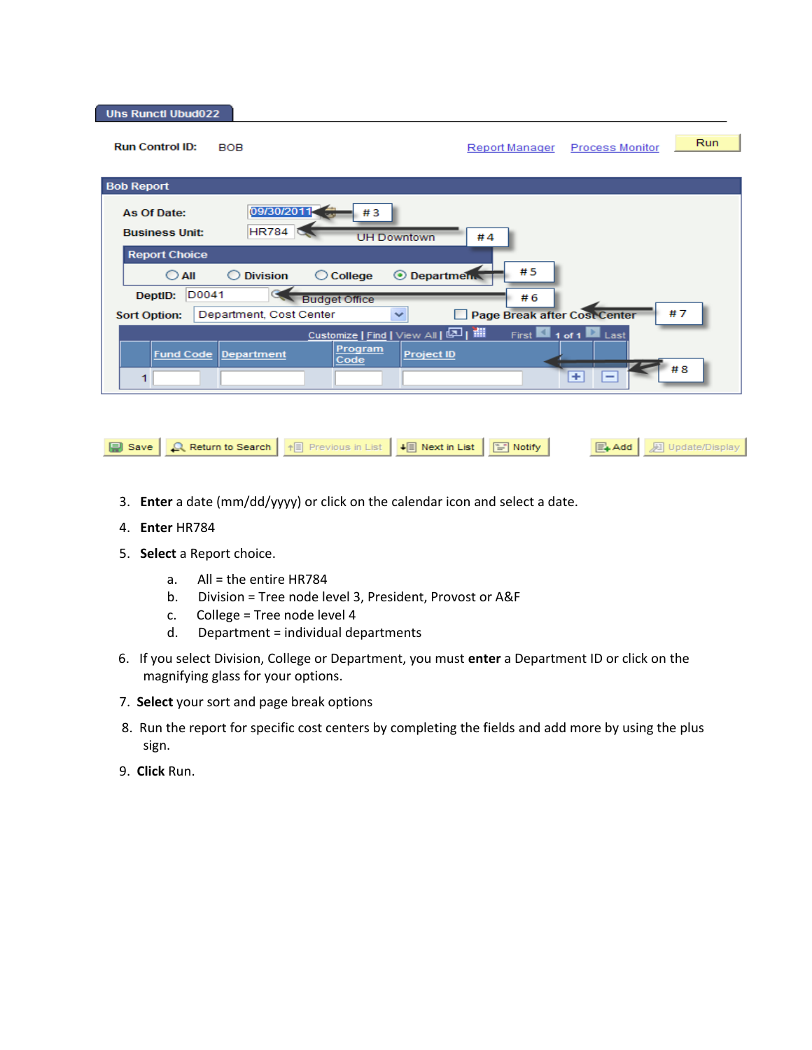**Uhs Runctl Ubud022** 

| <b>Run Control ID:</b>                                                            | <b>BOB</b>                                                                                                                | Report Manager                                  | Run<br><b>Process Monitor</b>                                                            |
|-----------------------------------------------------------------------------------|---------------------------------------------------------------------------------------------------------------------------|-------------------------------------------------|------------------------------------------------------------------------------------------|
| <b>Bob Report</b>                                                                 |                                                                                                                           |                                                 |                                                                                          |
| As Of Date:<br><b>Business Unit:</b>                                              | 09/30/2011<br>#3<br><b>HR784</b><br><b>UH Downtown</b>                                                                    | #4                                              |                                                                                          |
| <b>Report Choice</b><br>$\bigcirc$ aii<br>D0041<br>DeptID:<br><b>Sort Option:</b> | <b>O</b> Department<br><b>Division</b><br>College<br>O<br><b>Budget Office</b><br>Department, Cost Center<br>$\checkmark$ | #5<br>#6<br><b>Page Break after Cost Center</b> | #7                                                                                       |
| <b>Fund Code</b><br>1                                                             | Customize   Find   View All   2   1<br>Program<br>Department<br><b>Project ID</b><br>Code                                 |                                                 | First $\blacksquare$ 1 of 1 $\blacksquare$ Last<br>#8<br>$+$<br>$\overline{\phantom{0}}$ |
|                                                                                   |                                                                                                                           |                                                 |                                                                                          |

+ Previous in List | ↓ Next in List | ■ Notify |

 $\boxed{\Xi}$  Add

**D** Update/Display

- 3. **Enter** a date (mm/dd/yyyy) or click on the calendar icon and select a date.
- 4. **Enter** HR784

 $\Box$  Save

5. **Select** a Report choice.

Return to Search

- a. All = the entire HR784
- b. Division = Tree node level 3, President, Provost or A&F
- c. College = Tree node level 4
- d. Department = individual departments
- 6. If you select Division, College or Department, you must **enter** a Department ID or click on the magnifying glass for your options.
- 7. **Select** your sort and page break options
- 8. Run the report for specific cost centers by completing the fields and add more by using the plus sign.
- 9. **Click** Run.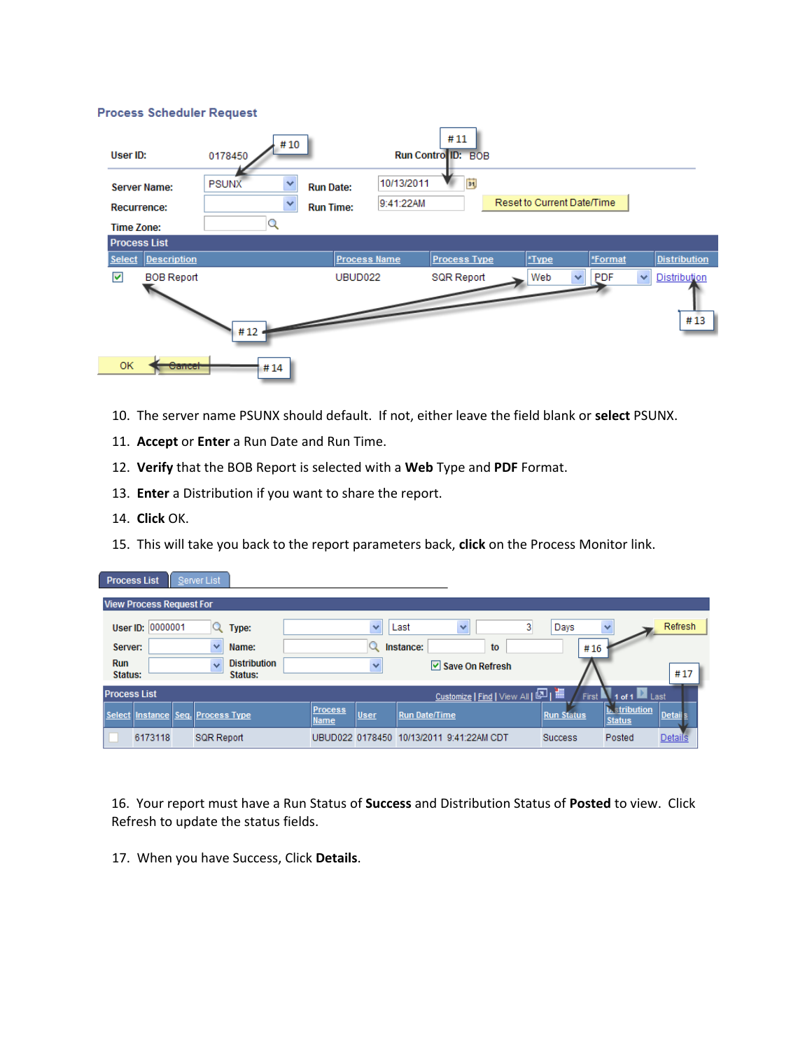#### **Process Scheduler Request**

| User ID:                                                       |                    | 0178450           | #10                          |                                      |                         | #11<br>Run Contro ID: BOB |                            |              |            |   |                            |
|----------------------------------------------------------------|--------------------|-------------------|------------------------------|--------------------------------------|-------------------------|---------------------------|----------------------------|--------------|------------|---|----------------------------|
| <b>Server Name:</b><br><b>Recurrence:</b><br><b>Time Zone:</b> |                    | <b>PSUNX</b><br>Q | $\checkmark$<br>$\checkmark$ | <b>Run Date:</b><br><b>Run Time:</b> | 10/13/2011<br>9:41:22AM | $\overline{\mathbf{B}}$   | Reset to Current Date/Time |              |            |   |                            |
| <b>Process List</b><br>Select                                  | <b>Description</b> |                   |                              | <b>Process Name</b>                  |                         | <b>Process Type</b>       | *Type                      |              | *Format    |   | <b>Distribution</b>        |
| 罓                                                              | <b>BOB Report</b>  | #12               |                              | UBUD <sub>022</sub>                  |                         | <b>SQR Report</b>         | Web                        | $\checkmark$ | <b>PDF</b> | × | <b>Distribution</b><br>#13 |
| 0K                                                             | Cancel             | #14               |                              |                                      |                         |                           |                            |              |            |   |                            |

- 10. The server name PSUNX should default. If not, either leave the field blank or **select** PSUNX.
- 11. **Accept** or **Enter** a Run Date and Run Time.
- 12. **Verify** that the BOB Report is selected with a **Web** Type and **PDF** Format.
- 13. **Enter** a Distribution if you want to share the report.
- 14. **Click** OK.
- 15. This will take you back to the report parameters back, **click** on the Process Monitor link.

| <b>Process List</b>   |                                   | Server List       |                                |                        |      |                                          |                                     |                   |                      |                                                           |         |
|-----------------------|-----------------------------------|-------------------|--------------------------------|------------------------|------|------------------------------------------|-------------------------------------|-------------------|----------------------|-----------------------------------------------------------|---------|
|                       | <b>View Process Request For</b>   |                   |                                |                        |      |                                          |                                     |                   |                      |                                                           |         |
|                       | User ID: 0000001                  |                   | Type:                          |                        | v    | Last                                     | ×                                   | Days<br>3         |                      | v                                                         | Refresh |
| Server:               |                                   | v                 | Name:                          |                        |      | Instance:                                | to                                  |                   | #16                  |                                                           |         |
| <b>Run</b><br>Status: |                                   | $\ddotmark$       | <b>Distribution</b><br>Status: |                        | v    |                                          | $\triangleright$ Save On Refresh    |                   |                      |                                                           | #17     |
| <b>Process List</b>   |                                   |                   |                                |                        |      |                                          | Customize   Find   View All   回   ■ |                   | First $\blacksquare$ | $\blacksquare$ Last                                       |         |
|                       | Select Instance Seq. Process Type |                   |                                | <b>Process</b><br>Name | User | <b>Run Date/Time</b>                     |                                     | <b>Run Status</b> |                      | <b><i><u><b>b.</b>stribution</u></i></b><br><b>Status</b> | Detail: |
|                       | 6173118                           | <b>SQR Report</b> |                                |                        |      | UBUD022 0178450 10/13/2011 9:41:22AM CDT |                                     | <b>Success</b>    |                      | Posted                                                    | Details |

16. Your report must have a Run Status of **Success** and Distribution Status of **Posted** to view. Click Refresh to update the status fields.

17. When you have Success, Click **Details**.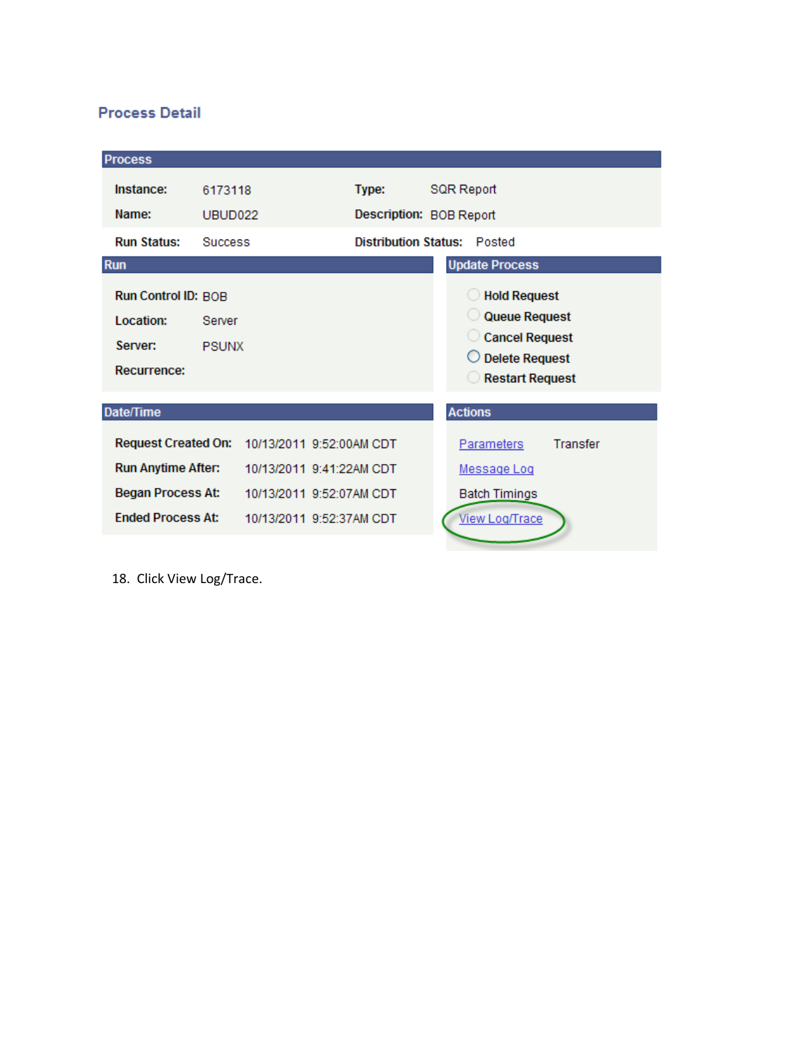## **Process Detail**

| <b>Process</b>                                                                                                  |                                |                                                                                                              |                                    |                                                                                                 |                 |
|-----------------------------------------------------------------------------------------------------------------|--------------------------------|--------------------------------------------------------------------------------------------------------------|------------------------------------|-------------------------------------------------------------------------------------------------|-----------------|
| Instance:<br>Name:                                                                                              | 6173118<br>UBUD <sub>022</sub> |                                                                                                              | Type:<br>Description: BOB Report   | SQR Report                                                                                      |                 |
| <b>Run Status:</b>                                                                                              | <b>Success</b>                 |                                                                                                              | <b>Distribution Status: Posted</b> |                                                                                                 |                 |
| <b>Run</b>                                                                                                      |                                |                                                                                                              |                                    | <b>Update Process</b>                                                                           |                 |
| <b>Run Control ID: BOB</b><br>Location:<br>Server:<br><b>Recurrence:</b>                                        | Server<br><b>PSUNX</b>         |                                                                                                              |                                    | Hold Request<br>Queue Request<br>Cancel Request<br>$\bigcirc$ Delete Request<br>Restart Request |                 |
| Date/Time                                                                                                       |                                |                                                                                                              |                                    | <b>Actions</b>                                                                                  |                 |
| <b>Request Created On:</b><br><b>Run Anytime After:</b><br><b>Began Process At:</b><br><b>Ended Process At:</b> |                                | 10/13/2011 9:52:00AM CDT<br>10/13/2011 9:41:22AM CDT<br>10/13/2011 9:52:07AM CDT<br>10/13/2011 9:52:37AM CDT |                                    | <b>Parameters</b><br>Message Log<br><b>Batch Timings</b><br><b>View Log/Trace</b>               | <b>Transfer</b> |
|                                                                                                                 |                                |                                                                                                              |                                    |                                                                                                 |                 |

18. Click View Log/Trace.